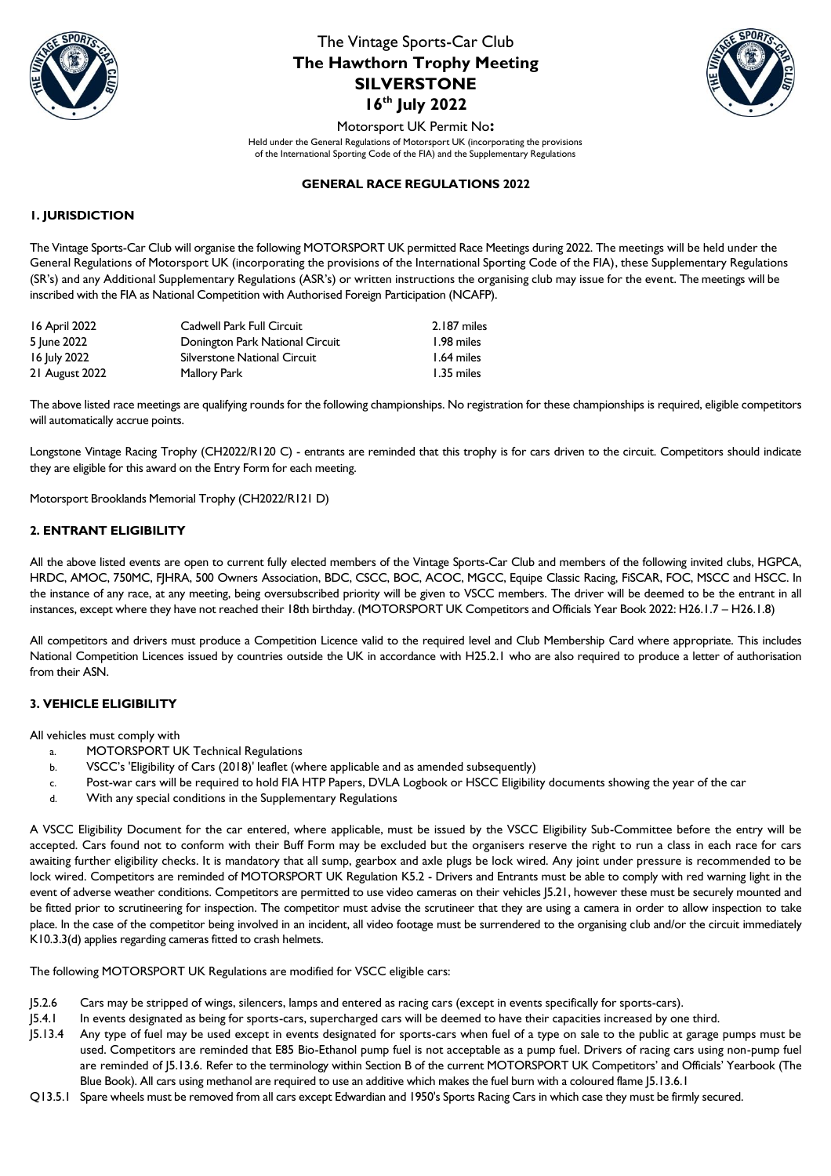



Motorsport UK Permit No**:**  Held under the General Regulations of Motorsport UK (incorporating the provisions of the International Sporting Code of the FIA) and the Supplementary Regulations

### **GENERAL RACE REGULATIONS 2022**

## **1. JURISDICTION**

The Vintage Sports-Car Club will organise the following MOTORSPORT UK permitted Race Meetings during 2022. The meetings will be held under the General Regulations of Motorsport UK (incorporating the provisions of the International Sporting Code of the FIA), these Supplementary Regulations (SR's) and any Additional Supplementary Regulations (ASR's) or written instructions the organising club may issue for the event. The meetings will be inscribed with the FIA as National Competition with Authorised Foreign Participation (NCAFP).

| 16 April 2022  | Cadwell Park Full Circuit       | 2.187 miles |
|----------------|---------------------------------|-------------|
| 5 June 2022    | Donington Park National Circuit | 1.98 miles  |
| 16 July 2022   | Silverstone National Circuit    | 1.64 miles  |
| 21 August 2022 | Mallory Park                    | 1.35 miles  |

The above listed race meetings are qualifying rounds for the following championships. No registration for these championships is required, eligible competitors will automatically accrue points.

Longstone Vintage Racing Trophy (CH2022/R120 C) - entrants are reminded that this trophy is for cars driven to the circuit. Competitors should indicate they are eligible for this award on the Entry Form for each meeting.

Motorsport Brooklands Memorial Trophy (CH2022/R121 D)

### **2. ENTRANT ELIGIBILITY**

All the above listed events are open to current fully elected members of the Vintage Sports-Car Club and members of the following invited clubs, HGPCA, HRDC, AMOC, 750MC, FJHRA, 500 Owners Association, BDC, CSCC, BOC, ACOC, MGCC, Equipe Classic Racing, FiSCAR, FOC, MSCC and HSCC. In the instance of any race, at any meeting, being oversubscribed priority will be given to VSCC members. The driver will be deemed to be the entrant in all instances, except where they have not reached their 18th birthday. (MOTORSPORT UK Competitors and Officials Year Book 2022: H26.1.7 – H26.1.8)

All competitors and drivers must produce a Competition Licence valid to the required level and Club Membership Card where appropriate. This includes National Competition Licences issued by countries outside the UK in accordance with H25.2.1 who are also required to produce a letter of authorisation from their ASN.

#### **3. VEHICLE ELIGIBILITY**

All vehicles must comply with

- a. MOTORSPORT UK Technical Regulations
- b. VSCC's 'Eligibility of Cars (2018)' leaflet (where applicable and as amended subsequently)
- c. Post-war cars will be required to hold FIA HTP Papers, DVLA Logbook or HSCC Eligibility documents showing the year of the car
- d. With any special conditions in the Supplementary Regulations

A VSCC Eligibility Document for the car entered, where applicable, must be issued by the VSCC Eligibility Sub-Committee before the entry will be accepted. Cars found not to conform with their Buff Form may be excluded but the organisers reserve the right to run a class in each race for cars awaiting further eligibility checks. It is mandatory that all sump, gearbox and axle plugs be lock wired. Any joint under pressure is recommended to be lock wired. Competitors are reminded of MOTORSPORT UK Regulation K5.2 - Drivers and Entrants must be able to comply with red warning light in the event of adverse weather conditions. Competitors are permitted to use video cameras on their vehicles J5.21, however these must be securely mounted and be fitted prior to scrutineering for inspection. The competitor must advise the scrutineer that they are using a camera in order to allow inspection to take place. In the case of the competitor being involved in an incident, all video footage must be surrendered to the organising club and/or the circuit immediately K10.3.3(d) applies regarding cameras fitted to crash helmets.

The following MOTORSPORT UK Regulations are modified for VSCC eligible cars:

- J5.2.6 Cars may be stripped of wings, silencers, lamps and entered as racing cars (except in events specifically for sports-cars).
- J5.4.1 In events designated as being for sports-cars, supercharged cars will be deemed to have their capacities increased by one third.
- J5.13.4 Any type of fuel may be used except in events designated for sports-cars when fuel of a type on sale to the public at garage pumps must be used. Competitors are reminded that E85 Bio-Ethanol pump fuel is not acceptable as a pump fuel. Drivers of racing cars using non-pump fuel are reminded of J5.13.6. Refer to the terminology within Section B of the current MOTORSPORT UK Competitors' and Officials' Yearbook (The Blue Book). All cars using methanol are required to use an additive which makes the fuel burn with a coloured flame J5.13.6.1
- Q13.5.1 Spare wheels must be removed from all cars except Edwardian and 1950's Sports Racing Cars in which case they must be firmly secured.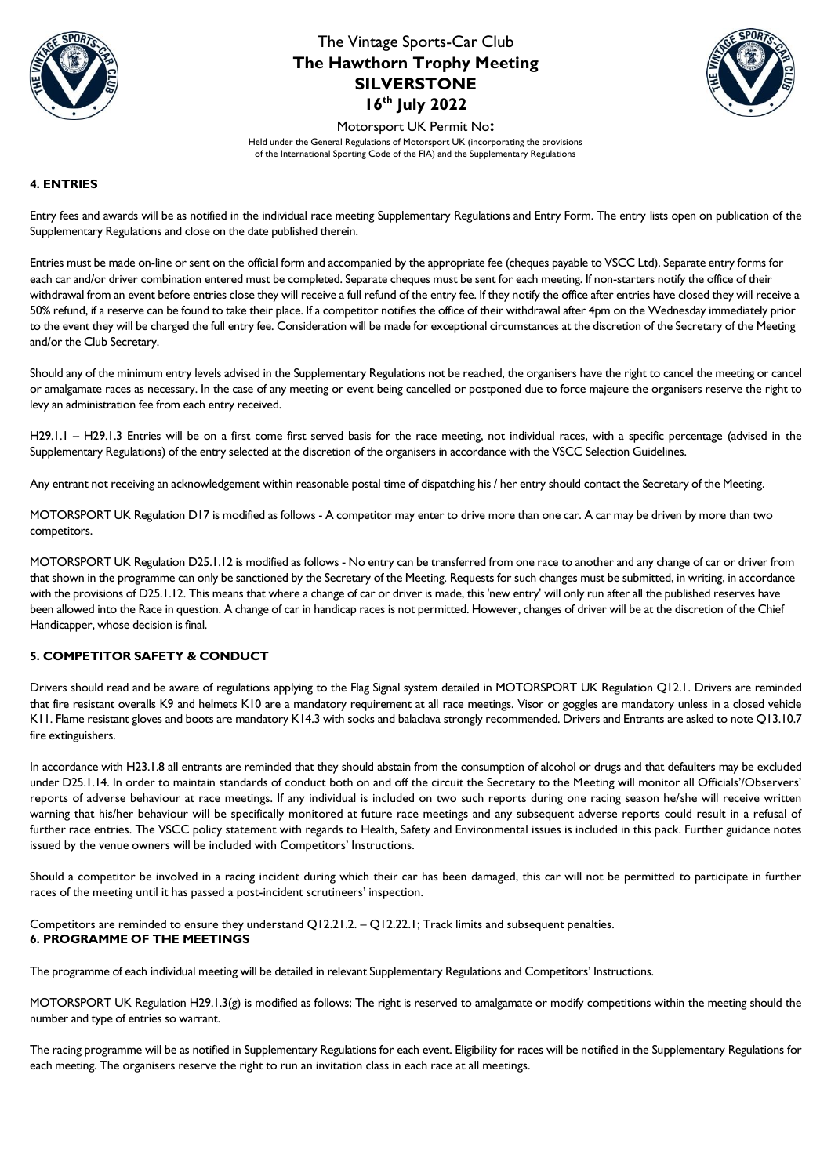



Motorsport UK Permit No**:** 

Held under the General Regulations of Motorsport UK (incorporating the provisions of the International Sporting Code of the FIA) and the Supplementary Regulations

## **4. ENTRIES**

Entry fees and awards will be as notified in the individual race meeting Supplementary Regulations and Entry Form. The entry lists open on publication of the Supplementary Regulations and close on the date published therein.

Entries must be made on-line or sent on the official form and accompanied by the appropriate fee (cheques payable to VSCC Ltd). Separate entry forms for each car and/or driver combination entered must be completed. Separate cheques must be sent for each meeting. If non-starters notify the office of their withdrawal from an event before entries close they will receive a full refund of the entry fee. If they notify the office after entries have closed they will receive a 50% refund, if a reserve can be found to take their place. If a competitor notifies the office of their withdrawal after 4pm on the Wednesday immediately prior to the event they will be charged the full entry fee. Consideration will be made for exceptional circumstances at the discretion of the Secretary of the Meeting and/or the Club Secretary.

Should any of the minimum entry levels advised in the Supplementary Regulations not be reached, the organisers have the right to cancel the meeting or cancel or amalgamate races as necessary. In the case of any meeting or event being cancelled or postponed due to force majeure the organisers reserve the right to levy an administration fee from each entry received.

H29.1.1 – H29.1.3 Entries will be on a first come first served basis for the race meeting, not individual races, with a specific percentage (advised in the Supplementary Regulations) of the entry selected at the discretion of the organisers in accordance with the VSCC Selection Guidelines.

Any entrant not receiving an acknowledgement within reasonable postal time of dispatching his / her entry should contact the Secretary of the Meeting.

MOTORSPORT UK Regulation D17 is modified as follows - A competitor may enter to drive more than one car. A car may be driven by more than two competitors.

MOTORSPORT UK Regulation D25.1.12 is modified as follows - No entry can be transferred from one race to another and any change of car or driver from that shown in the programme can only be sanctioned by the Secretary of the Meeting. Requests for such changes must be submitted, in writing, in accordance with the provisions of D25.1.12. This means that where a change of car or driver is made, this 'new entry' will only run after all the published reserves have been allowed into the Race in question. A change of car in handicap races is not permitted. However, changes of driver will be at the discretion of the Chief Handicapper, whose decision is final.

## **5. COMPETITOR SAFETY & CONDUCT**

Drivers should read and be aware of regulations applying to the Flag Signal system detailed in MOTORSPORT UK Regulation Q12.1. Drivers are reminded that fire resistant overalls K9 and helmets K10 are a mandatory requirement at all race meetings. Visor or goggles are mandatory unless in a closed vehicle K11. Flame resistant gloves and boots are mandatory K14.3 with socks and balaclava strongly recommended. Drivers and Entrants are asked to note Q13.10.7 fire extinguishers.

In accordance with H23.1.8 all entrants are reminded that they should abstain from the consumption of alcohol or drugs and that defaulters may be excluded under D25.1.14. In order to maintain standards of conduct both on and off the circuit the Secretary to the Meeting will monitor all Officials'/Observers' reports of adverse behaviour at race meetings. If any individual is included on two such reports during one racing season he/she will receive written warning that his/her behaviour will be specifically monitored at future race meetings and any subsequent adverse reports could result in a refusal of further race entries. The VSCC policy statement with regards to Health, Safety and Environmental issues is included in this pack. Further guidance notes issued by the venue owners will be included with Competitors' Instructions.

Should a competitor be involved in a racing incident during which their car has been damaged, this car will not be permitted to participate in further races of the meeting until it has passed a post-incident scrutineers' inspection.

Competitors are reminded to ensure they understand Q12.21.2. – Q12.22.1; Track limits and subsequent penalties. **6. PROGRAMME OF THE MEETINGS**

The programme of each individual meeting will be detailed in relevant Supplementary Regulations and Competitors' Instructions.

MOTORSPORT UK Regulation H29.1.3(g) is modified as follows; The right is reserved to amalgamate or modify competitions within the meeting should the number and type of entries so warrant.

The racing programme will be as notified in Supplementary Regulations for each event. Eligibility for races will be notified in the Supplementary Regulations for each meeting. The organisers reserve the right to run an invitation class in each race at all meetings.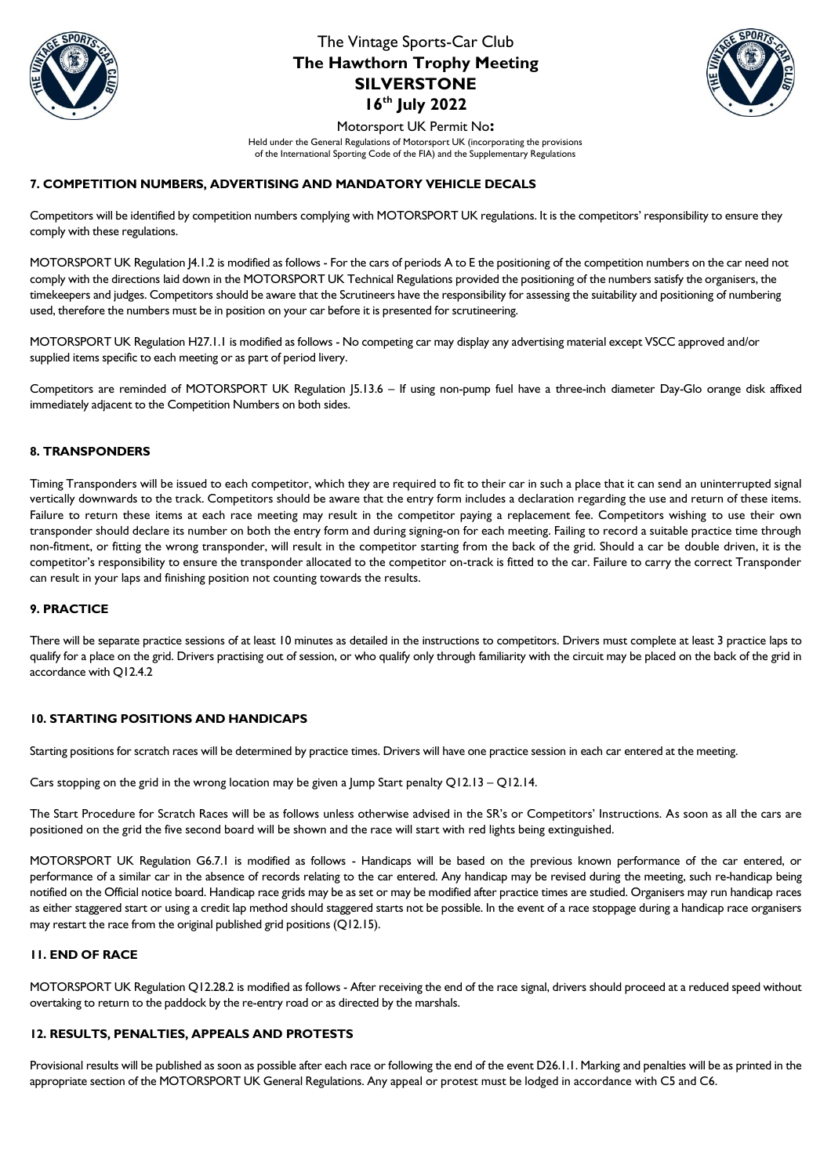



Motorsport UK Permit No**:** 

Held under the General Regulations of Motorsport UK (incorporating the provisions of the International Sporting Code of the FIA) and the Supplementary Regulations

## **7. COMPETITION NUMBERS, ADVERTISING AND MANDATORY VEHICLE DECALS**

Competitors will be identified by competition numbers complying with MOTORSPORT UK regulations. It is the competitors' responsibility to ensure they comply with these regulations.

MOTORSPORT UK Regulation J4.1.2 is modified as follows - For the cars of periods A to E the positioning of the competition numbers on the car need not comply with the directions laid down in the MOTORSPORT UK Technical Regulations provided the positioning of the numbers satisfy the organisers, the timekeepers and judges. Competitors should be aware that the Scrutineers have the responsibility for assessing the suitability and positioning of numbering used, therefore the numbers must be in position on your car before it is presented for scrutineering.

MOTORSPORT UK Regulation H27.1.1 is modified as follows - No competing car may display any advertising material except VSCC approved and/or supplied items specific to each meeting or as part of period livery.

Competitors are reminded of MOTORSPORT UK Regulation J5.13.6 – If using non-pump fuel have a three-inch diameter Day-Glo orange disk affixed immediately adjacent to the Competition Numbers on both sides.

## **8. TRANSPONDERS**

Timing Transponders will be issued to each competitor, which they are required to fit to their car in such a place that it can send an uninterrupted signal vertically downwards to the track. Competitors should be aware that the entry form includes a declaration regarding the use and return of these items. Failure to return these items at each race meeting may result in the competitor paying a replacement fee. Competitors wishing to use their own transponder should declare its number on both the entry form and during signing-on for each meeting. Failing to record a suitable practice time through non-fitment, or fitting the wrong transponder, will result in the competitor starting from the back of the grid. Should a car be double driven, it is the competitor's responsibility to ensure the transponder allocated to the competitor on-track is fitted to the car. Failure to carry the correct Transponder can result in your laps and finishing position not counting towards the results.

#### **9. PRACTICE**

There will be separate practice sessions of at least 10 minutes as detailed in the instructions to competitors. Drivers must complete at least 3 practice laps to qualify for a place on the grid. Drivers practising out of session, or who qualify only through familiarity with the circuit may be placed on the back of the grid in accordance with Q12.4.2

# **10. STARTING POSITIONS AND HANDICAPS**

Starting positions for scratch races will be determined by practice times. Drivers will have one practice session in each car entered at the meeting.

Cars stopping on the grid in the wrong location may be given a Jump Start penalty  $Q12.13 - Q12.14$ .

The Start Procedure for Scratch Races will be as follows unless otherwise advised in the SR's or Competitors' Instructions. As soon as all the cars are positioned on the grid the five second board will be shown and the race will start with red lights being extinguished.

MOTORSPORT UK Regulation G6.7.1 is modified as follows - Handicaps will be based on the previous known performance of the car entered, or performance of a similar car in the absence of records relating to the car entered. Any handicap may be revised during the meeting, such re-handicap being notified on the Official notice board. Handicap race grids may be as set or may be modified after practice times are studied. Organisers may run handicap races as either staggered start or using a credit lap method should staggered starts not be possible. In the event of a race stoppage during a handicap race organisers may restart the race from the original published grid positions (Q12.15).

### **11. END OF RACE**

MOTORSPORT UK Regulation Q12.28.2 is modified as follows - After receiving the end of the race signal, drivers should proceed at a reduced speed without overtaking to return to the paddock by the re-entry road or as directed by the marshals.

#### **12. RESULTS, PENALTIES, APPEALS AND PROTESTS**

Provisional results will be published as soon as possible after each race or following the end of the event D26.1.1. Marking and penalties will be as printed in the appropriate section of the MOTORSPORT UK General Regulations. Any appeal or protest must be lodged in accordance with C5 and C6.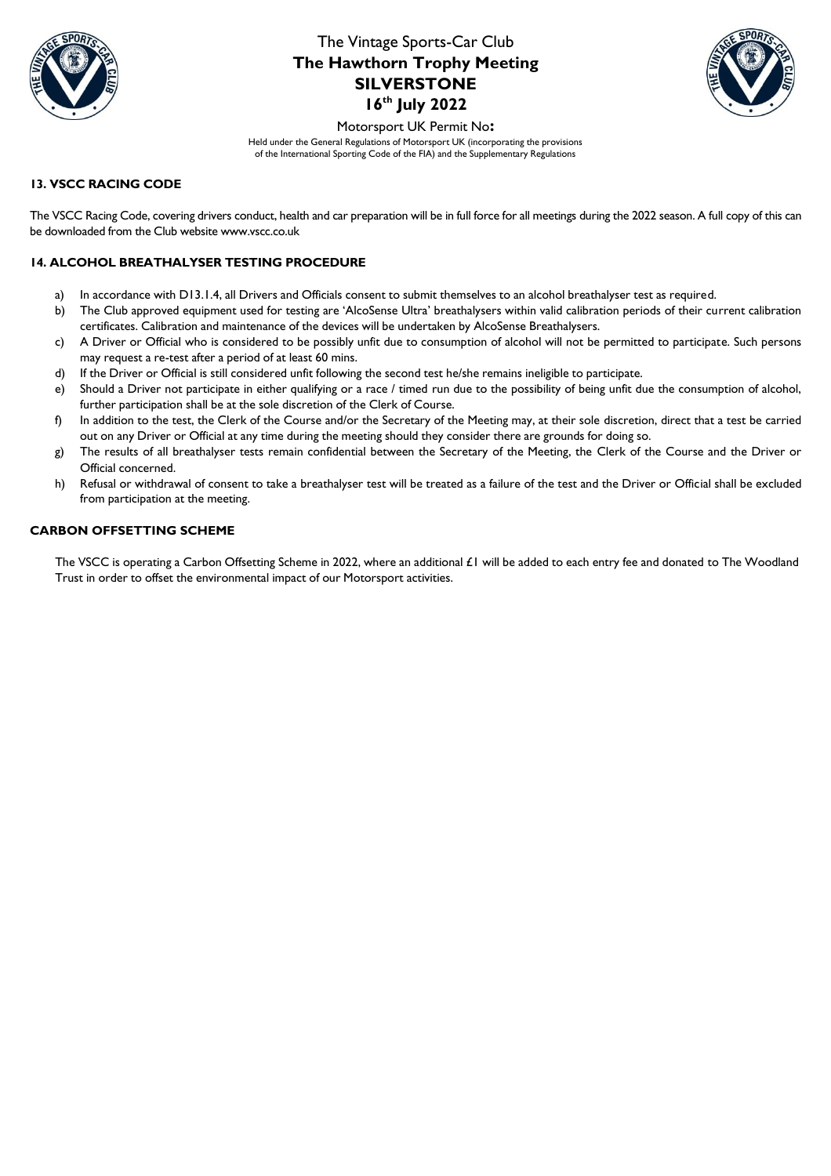



Motorsport UK Permit No**:** 

Held under the General Regulations of Motorsport UK (incorporating the provisions of the International Sporting Code of the FIA) and the Supplementary Regulations

### **13. VSCC RACING CODE**

The VSCC Racing Code, covering drivers conduct, health and car preparation will be in full force for all meetings during the 2022 season. A full copy of this can be downloaded from the Club website www.vscc.co.uk

## **14. ALCOHOL BREATHALYSER TESTING PROCEDURE**

- a) In accordance with D13.1.4, all Drivers and Officials consent to submit themselves to an alcohol breathalyser test as required.
- b) The Club approved equipment used for testing are 'AlcoSense Ultra' breathalysers within valid calibration periods of their current calibration certificates. Calibration and maintenance of the devices will be undertaken by AlcoSense Breathalysers.
- c) A Driver or Official who is considered to be possibly unfit due to consumption of alcohol will not be permitted to participate. Such persons may request a re-test after a period of at least 60 mins.
- d) If the Driver or Official is still considered unfit following the second test he/she remains ineligible to participate.
- e) Should a Driver not participate in either qualifying or a race / timed run due to the possibility of being unfit due the consumption of alcohol, further participation shall be at the sole discretion of the Clerk of Course.
- f) In addition to the test, the Clerk of the Course and/or the Secretary of the Meeting may, at their sole discretion, direct that a test be carried out on any Driver or Official at any time during the meeting should they consider there are grounds for doing so.
- g) The results of all breathalyser tests remain confidential between the Secretary of the Meeting, the Clerk of the Course and the Driver or Official concerned.
- h) Refusal or withdrawal of consent to take a breathalyser test will be treated as a failure of the test and the Driver or Official shall be excluded from participation at the meeting.

### **CARBON OFFSETTING SCHEME**

The VSCC is operating a Carbon Offsetting Scheme in 2022, where an additional £1 will be added to each entry fee and donated to The Woodland Trust in order to offset the environmental impact of our Motorsport activities.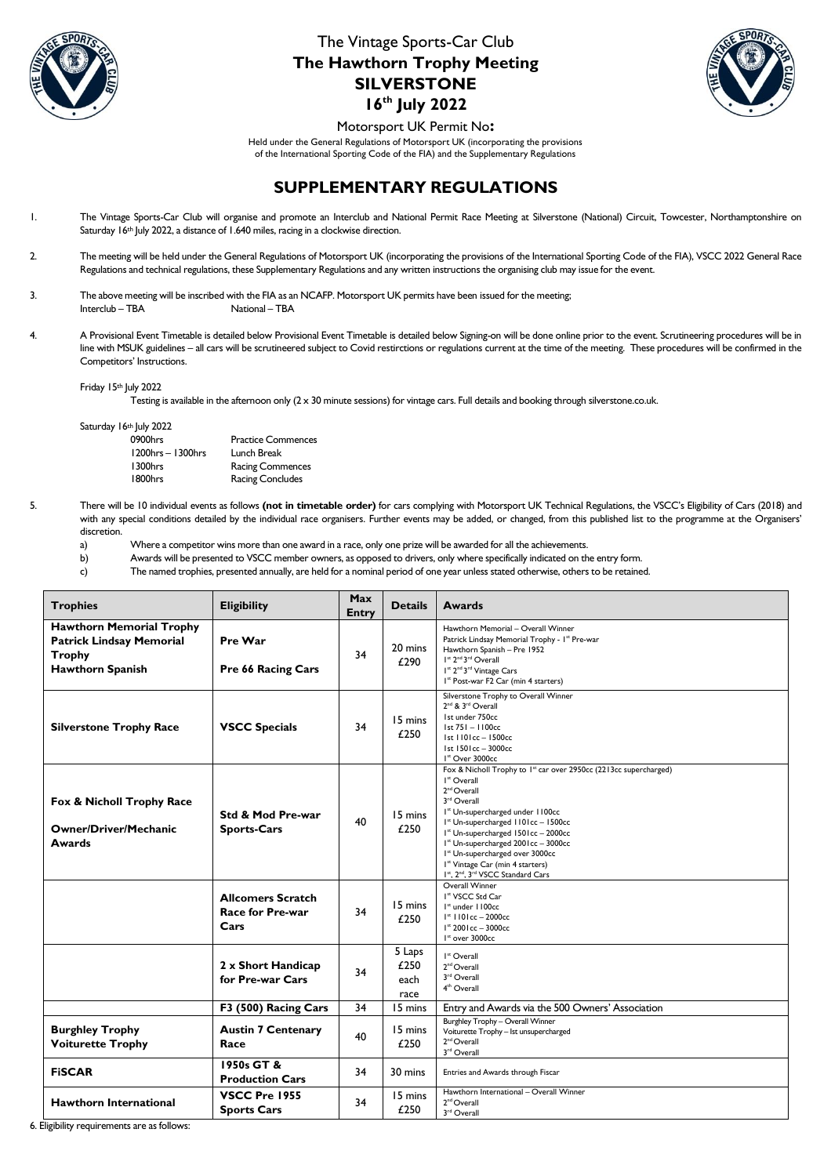



Motorsport UK Permit No**:** 

Held under the General Regulations of Motorsport UK (incorporating the provisions of the International Sporting Code of the FIA) and the Supplementary Regulations

# **SUPPLEMENTARY REGULATIONS**

- 1. The Vintage Sports-Car Club will organise and promote an Interclub and National Permit Race Meeting at Silverstone (National) Circuit, Towcester, Northamptonshire on Saturday 16th July 2022, a distance of 1.640 miles, racing in a clockwise direction.
- 2. The meeting will be held under the General Regulations of Motorsport UK (incorporating the provisions of the International Sporting Code of the FIA), VSCC 2022 General Race Regulations and technical regulations, these Supplementary Regulations and any written instructions the organising club may issue for the event.
- 3. The above meeting will be inscribed with the FIA as an NCAFP. Motorsport UK permits have been issued for the meeting; Interclub – TBA National – TBA
- 4. A Provisional Event Timetable is detailed below Provisional Event Timetable is detailed below Signing-on will be done online prior to the event. Scrutineering procedures will be in line with MSUK guidelines – all cars will be scrutineered subject to Covid restirctions or regulations current at the time of the meeting. These procedures will be confirmed in the Competitors' Instructions.

Friday 15th July 2022

Testing is available in the afternoon only (2 x 30 minute sessions) for vintage cars. Full details and booking through silverstone.co.uk.

Saturday 16th July 2022

| 0900hrs           | <b>Practice Commences</b> |
|-------------------|---------------------------|
| 1200hrs - 1300hrs | Lunch Break               |
| 1300hrs           | <b>Racing Commences</b>   |
| 1800hrs           | <b>Racing Concludes</b>   |

5. There will be 10 individual events as follows **(not in timetable order)** for cars complying with Motorsport UK Technical Regulations, the VSCC's Eligibility of Cars (2018) and with any special conditions detailed by the individual race organisers. Further events may be added, or changed, from this published list to the programme at the Organisers' discretion.

a) Where a competitor wins more than one award in a race, only one prize will be awarded for all the achievements.

b) Awards will be presented to VSCC member owners, as opposed to drivers, only where specifically indicated on the entry form.

c) The named trophies, presented annually, are held for a nominal period of one year unless stated otherwise, others to be retained.

| <b>Trophies</b>                                                                                         | <b>Eligibility</b>                                          | Max<br><b>Entry</b> | <b>Details</b>                 | <b>Awards</b>                                                                                                                                                                                                                                                                                                                                                                                                                                                                                                                     |
|---------------------------------------------------------------------------------------------------------|-------------------------------------------------------------|---------------------|--------------------------------|-----------------------------------------------------------------------------------------------------------------------------------------------------------------------------------------------------------------------------------------------------------------------------------------------------------------------------------------------------------------------------------------------------------------------------------------------------------------------------------------------------------------------------------|
| <b>Hawthorn Memorial Trophy</b><br><b>Patrick Lindsay Memorial</b><br>Trophy<br><b>Hawthorn Spanish</b> | Pre War<br>Pre 66 Racing Cars                               | 34                  | 20 mins<br>£290                | Hawthorn Memorial - Overall Winner<br>Patrick Lindsay Memorial Trophy - I* Pre-war<br>Hawthorn Spanish - Pre 1952<br>I <sup>st</sup> 2 <sup>nd</sup> 3 <sup>rd</sup> Overall<br>I <sup>st</sup> 2 <sup>nd</sup> 3 <sup>rd</sup> Vintage Cars<br>I <sup>x</sup> Post-war F2 Car (min 4 starters)                                                                                                                                                                                                                                   |
| <b>Silverstone Trophy Race</b>                                                                          | <b>VSCC Specials</b>                                        | 34                  | 15 mins<br>£250                | Silverstone Trophy to Overall Winner<br>2 <sup>nd</sup> & 3 <sup>rd</sup> Overall<br>1st under 750cc<br>1st 751 - 1100cc<br>Ist 1101cc - 1500cc<br>Ist 1501cc - 3000cc<br>I <sup>st</sup> Over 3000cc                                                                                                                                                                                                                                                                                                                             |
| Fox & Nicholl Trophy Race<br><b>Owner/Driver/Mechanic</b><br>Awards                                     | <b>Std &amp; Mod Pre-war</b><br><b>Sports-Cars</b>          | 40                  | 15 mins<br>£250                | Fox & Nicholl Trophy to 1 <sup>st</sup> car over 2950cc (2213cc supercharged)<br>I <sup>st</sup> Overall<br>2 <sup>nd</sup> Overall<br>3rd Overall<br>I <sup>st</sup> Un-supercharged under 1100cc<br>I <sup>xt</sup> Un-supercharged 1101cc - 1500cc<br>I <sup>st</sup> Un-supercharged 1501cc - 2000cc<br>I <sup>x</sup> Un-supercharged 2001cc - 3000cc<br>I <sup>x</sup> Un-supercharged over 3000cc<br>I <sup>x</sup> Vintage Car (min 4 starters)<br>I <sup>st</sup> , 2 <sup>nd</sup> , 3 <sup>rd</sup> VSCC Standard Cars |
|                                                                                                         | <b>Allcomers Scratch</b><br><b>Race for Pre-war</b><br>Cars | 34                  | 15 mins<br>£250                | Overall Winner<br>I <sup>x</sup> VSCC Std Car<br>I <sup>st</sup> under 1100cc<br>$1*$ 1101cc - 2000cc<br>$I^*$ 2001cc - 3000cc<br>$Ist$ over 3000cc                                                                                                                                                                                                                                                                                                                                                                               |
|                                                                                                         | 2 x Short Handicap<br>for Pre-war Cars                      | 34                  | 5 Laps<br>£250<br>each<br>race | I <sup>st</sup> Overall<br>2 <sup>nd</sup> Overall<br>3rd Overall<br>4 <sup>th</sup> Overall                                                                                                                                                                                                                                                                                                                                                                                                                                      |
|                                                                                                         | F3 (500) Racing Cars                                        | 34                  | 15 mins                        | Entry and Awards via the 500 Owners' Association                                                                                                                                                                                                                                                                                                                                                                                                                                                                                  |
| <b>Burghley Trophy</b><br><b>Voiturette Trophy</b>                                                      | <b>Austin 7 Centenary</b><br>Race                           | 40                  | 15 mins<br>£250                | Burghley Trophy - Overall Winner<br>Voiturette Trophy - Ist unsupercharged<br>2 <sup>nd</sup> Overall<br>3rd Overall                                                                                                                                                                                                                                                                                                                                                                                                              |
| <b>FISCAR</b>                                                                                           | 1950s GT &<br><b>Production Cars</b>                        | 34                  | 30 mins                        | Entries and Awards through Fiscar                                                                                                                                                                                                                                                                                                                                                                                                                                                                                                 |
| <b>Hawthorn International</b>                                                                           | <b>VSCC Pre 1955</b><br><b>Sports Cars</b>                  | 34                  | 15 mins<br>£250                | Hawthorn International - Overall Winner<br>2 <sup>nd</sup> Overall<br>3rd Overall                                                                                                                                                                                                                                                                                                                                                                                                                                                 |

6. Eligibility requirements are as follows: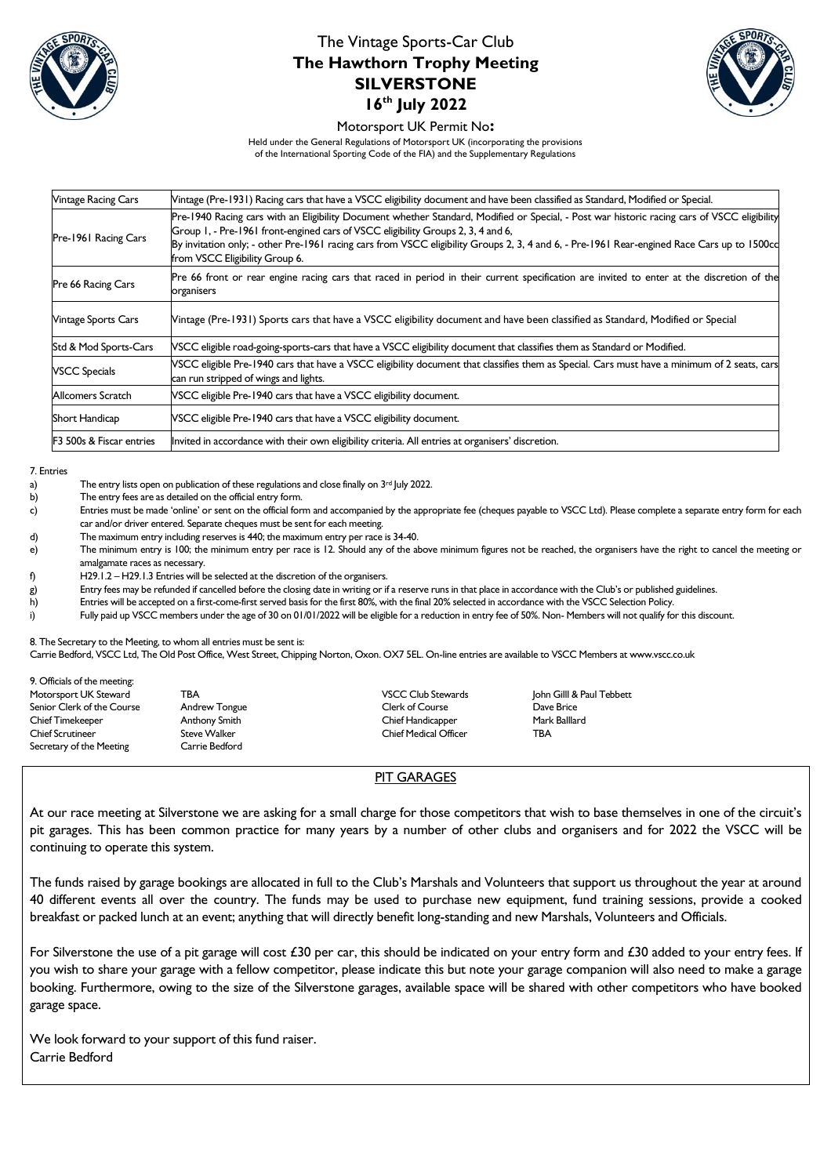



#### Motorsport UK Permit No**:**

Held under the General Regulations of Motorsport UK (incorporating the provisions of the International Sporting Code of the FIA) and the Supplementary Regulations

| <b>Vintage Racing Cars</b>          | Mintage (Pre-1931) Racing cars that have a VSCC eligibility document and have been classified as Standard, Modified or Special.                                                                                                                                                                                                                                                                                   |
|-------------------------------------|-------------------------------------------------------------------------------------------------------------------------------------------------------------------------------------------------------------------------------------------------------------------------------------------------------------------------------------------------------------------------------------------------------------------|
| Pre-1961 Racing Cars                | Pre-1940 Racing cars with an Eligibility Document whether Standard, Modified or Special, - Post war historic racing cars of VSCC eligibility<br>Group 1, - Pre-1961 front-engined cars of VSCC eligibility Groups 2, 3, 4 and 6,<br>By invitation only; - other Pre-1961 racing cars from VSCC eligibility Groups 2, 3, 4 and 6, - Pre-1961 Rear-engined Race Cars up to 1500cd<br>from VSCC Eligibility Group 6. |
| Pre 66 Racing Cars                  | Pre 66 front or rear engine racing cars that raced in period in their current specification are invited to enter at the discretion of the<br>organisers                                                                                                                                                                                                                                                           |
| <b>Vintage Sports Cars</b>          | Vintage (Pre-1931) Sports cars that have a VSCC eligibility document and have been classified as Standard, Modified or Special                                                                                                                                                                                                                                                                                    |
| Std & Mod Sports-Cars               | NSCC eligible road-going-sports-cars that have a VSCC eligibility document that classifies them as Standard or Modified.                                                                                                                                                                                                                                                                                          |
| <b>VSCC Specials</b>                | VSCC eligible Pre-1940 cars that have a VSCC eligibility document that classifies them as Special. Cars must have a minimum of 2 seats, cars<br>can run stripped of wings and lights.                                                                                                                                                                                                                             |
| Allcomers Scratch                   | VSCC eligible Pre-1940 cars that have a VSCC eligibility document.                                                                                                                                                                                                                                                                                                                                                |
| Short Handicap                      | VSCC eligible Pre-1940 cars that have a VSCC eligibility document.                                                                                                                                                                                                                                                                                                                                                |
| <b>F3 500s &amp; Fiscar entries</b> | Invited in accordance with their own eligibility criteria. All entries at organisers' discretion.                                                                                                                                                                                                                                                                                                                 |

#### 7. Entries

- a) The entry lists open on publication of these regulations and close finally on 3<sup>rd</sup> July 2022.
- b) The entry fees are as detailed on the official entry form.
- c) Entries must be made 'online' or sent on the official form and accompanied by the appropriate fee (cheques payable to VSCC Ltd). Please complete a separate entry form for each car and/or driver entered. Separate cheques must be sent for each meeting.
- d) The maximum entry including reserves is 440; the maximum entry per race is 34-40.
- e) The minimum entry is 100; the minimum entry per race is 12. Should any of the above minimum figures not be reached, the organisers have the right to cancel the meeting or amalgamate races as necessary.
- f) H29.1.2 H29.1.3 Entries will be selected at the discretion of the organisers.

g) Entry fees may be refunded if cancelled before the closing date in writing or if a reserve runs in that place in accordance with the Club's or published guidelines.

h) Entries will be accepted on a first-come-first served basis for the first 80%, with the final 20% selected in accordance with the VSCC Selection Policy.

i) Fully paid up VSCC members under the age of 30 on 01/01/2022 will be eligible for a reduction in entry fee of 50%. Non- Members will not qualify for this discount.

8. The Secretary to the Meeting, to whom all entries must be sent is:

Carrie Bedford, VSCC Ltd, The Old Post Office, West Street, Chipping Norton, Oxon. OX7 5EL. On-line entries are available to VSCC Members at www.vscc.co.uk

| 9. Officials of the meeting: |                |                              |                           |
|------------------------------|----------------|------------------------------|---------------------------|
| Motorsport UK Steward        | TBA            | <b>VSCC Club Stewards</b>    | John Gilll & Paul Tebbett |
| Senior Clerk of the Course   | Andrew Tongue  | <b>Clerk of Course</b>       | Dave Brice                |
| <b>Chief Timekeeper</b>      | Anthony Smith  | Chief Handicapper            | Mark Balllard             |
| <b>Chief Scrutineer</b>      | Steve Walker   | <b>Chief Medical Officer</b> | ТВА                       |
| Secretary of the Meeting     | Carrie Bedford |                              |                           |

### PIT GARAGES

At our race meeting at Silverstone we are asking for a small charge for those competitors that wish to base themselves in one of the circuit's pit garages. This has been common practice for many years by a number of other clubs and organisers and for 2022 the VSCC will be continuing to operate this system.

The funds raised by garage bookings are allocated in full to the Club's Marshals and Volunteers that support us throughout the year at around 40 different events all over the country. The funds may be used to purchase new equipment, fund training sessions, provide a cooked breakfast or packed lunch at an event; anything that will directly benefit long-standing and new Marshals, Volunteers and Officials.

For Silverstone the use of a pit garage will cost £30 per car, this should be indicated on your entry form and £30 added to your entry fees. If you wish to share your garage with a fellow competitor, please indicate this but note your garage companion will also need to make a garage booking. Furthermore, owing to the size of the Silverstone garages, available space will be shared with other competitors who have booked garage space.

We look forward to your support of this fund raiser. Carrie Bedford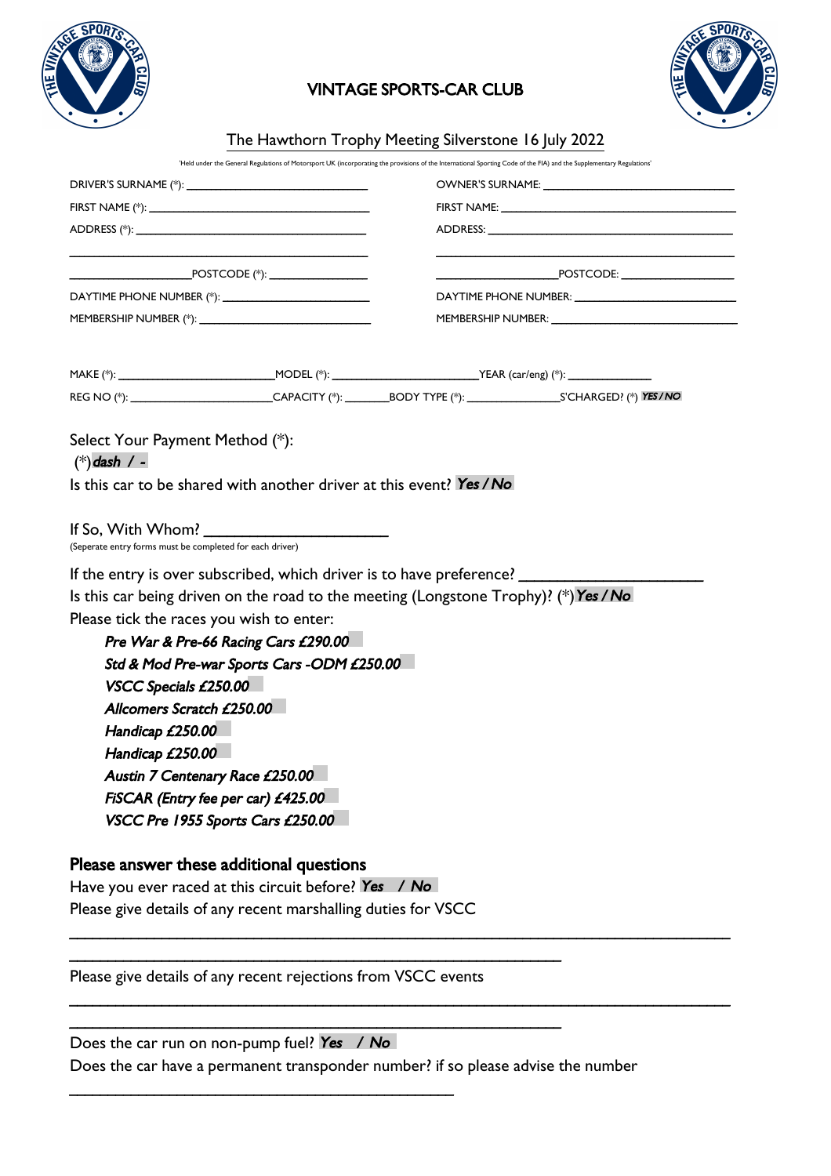

# VINTAGE SPORTS-CAR CLUB



# The Hawthorn Trophy Meeting Silverstone 16 July 2022

'Held under the General Regulations of Motorsport UK (incorporating the provisions of the International Sporting Code of the FIA) and the Supplementary Regulations'

|                                                          |                                                                      | FIRST NAME: The Committee of the Committee of the Committee of the Committee of the Committee of the Committee                                                                                                                                                                                                                                                     |  |  |
|----------------------------------------------------------|----------------------------------------------------------------------|--------------------------------------------------------------------------------------------------------------------------------------------------------------------------------------------------------------------------------------------------------------------------------------------------------------------------------------------------------------------|--|--|
|                                                          |                                                                      | $\begin{picture}(180,10) \put(0,0){\vector(1,0){100}} \put(15,0){\vector(1,0){100}} \put(15,0){\vector(1,0){100}} \put(15,0){\vector(1,0){100}} \put(15,0){\vector(1,0){100}} \put(15,0){\vector(1,0){100}} \put(15,0){\vector(1,0){100}} \put(15,0){\vector(1,0){100}} \put(15,0){\vector(1,0){100}} \put(15,0){\vector(1,0){100}} \put(15,0){\vector(1,0){100}}$ |  |  |
|                                                          |                                                                      |                                                                                                                                                                                                                                                                                                                                                                    |  |  |
|                                                          |                                                                      |                                                                                                                                                                                                                                                                                                                                                                    |  |  |
|                                                          |                                                                      |                                                                                                                                                                                                                                                                                                                                                                    |  |  |
|                                                          |                                                                      | REG NO (*): ____________________________CAPACITY (*): _________BODY TYPE (*): _____________________S'CHARGED? (*) YES/NO                                                                                                                                                                                                                                           |  |  |
|                                                          |                                                                      |                                                                                                                                                                                                                                                                                                                                                                    |  |  |
| Select Your Payment Method (*):<br>$(*)$ dash / -        | Is this car to be shared with another driver at this event? Yes / No |                                                                                                                                                                                                                                                                                                                                                                    |  |  |
| (Seperate entry forms must be completed for each driver) | If So, With Whom? $\sqrt{2}$                                         |                                                                                                                                                                                                                                                                                                                                                                    |  |  |
|                                                          |                                                                      |                                                                                                                                                                                                                                                                                                                                                                    |  |  |
|                                                          |                                                                      | If the entry is over subscribed, which driver is to have preference? ______<br>Is this car being driven on the road to the meeting (Longstone Trophy)? (*) Yes / No                                                                                                                                                                                                |  |  |
|                                                          |                                                                      |                                                                                                                                                                                                                                                                                                                                                                    |  |  |
| Please tick the races you wish to enter:                 | Pre War & Pre-66 Racing Cars £290.00                                 |                                                                                                                                                                                                                                                                                                                                                                    |  |  |
|                                                          | Std & Mod Pre-war Sports Cars -ODM £250.00                           |                                                                                                                                                                                                                                                                                                                                                                    |  |  |
| VSCC Specials £250.00                                    |                                                                      |                                                                                                                                                                                                                                                                                                                                                                    |  |  |
| Allcomers Scratch £250.00                                |                                                                      |                                                                                                                                                                                                                                                                                                                                                                    |  |  |
| Handicap £250.00                                         |                                                                      |                                                                                                                                                                                                                                                                                                                                                                    |  |  |
| Handicap £250.00                                         |                                                                      |                                                                                                                                                                                                                                                                                                                                                                    |  |  |
|                                                          | Austin 7 Centenary Race £250.00                                      |                                                                                                                                                                                                                                                                                                                                                                    |  |  |
|                                                          | FISCAR (Entry fee per car) £425.00                                   |                                                                                                                                                                                                                                                                                                                                                                    |  |  |
|                                                          | VSCC Pre 1955 Sports Cars £250.00                                    |                                                                                                                                                                                                                                                                                                                                                                    |  |  |
|                                                          | Please answer these additional questions                             |                                                                                                                                                                                                                                                                                                                                                                    |  |  |
|                                                          | Have you ever raced at this circuit before? Yes / No                 |                                                                                                                                                                                                                                                                                                                                                                    |  |  |
|                                                          | Please give details of any recent marshalling duties for VSCC        |                                                                                                                                                                                                                                                                                                                                                                    |  |  |
|                                                          |                                                                      |                                                                                                                                                                                                                                                                                                                                                                    |  |  |
|                                                          |                                                                      |                                                                                                                                                                                                                                                                                                                                                                    |  |  |

Please give details of any recent rejections from VSCC events

Does the car run on non-pump fuel? Yes / No Does the car have a permanent transponder number? if so please advise the number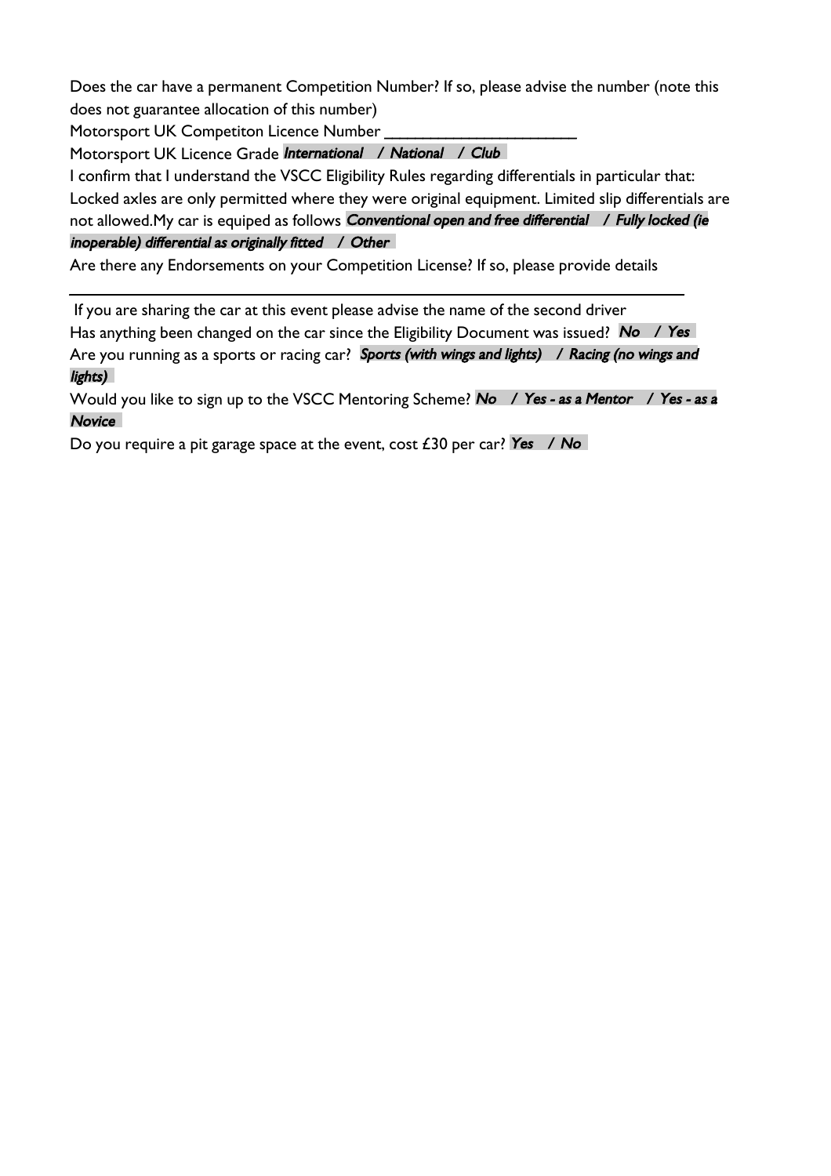Does the car have a permanent Competition Number? If so, please advise the number (note this does not guarantee allocation of this number)

Motorsport UK Competiton Licence Number

Motorsport UK Licence Grade International / National / Club

I confirm that I understand the VSCC Eligibility Rules regarding differentials in particular that: Locked axles are only permitted where they were original equipment. Limited slip differentials are not allowed.My car is equiped as follows Conventional open and free differential / Fully locked (ie inoperable) differential as originally fitted / Other

Are there any Endorsements on your Competition License? If so, please provide details

 If you are sharing the car at this event please advise the name of the second driver Has anything been changed on the car since the Eligibility Document was issued? No / Yes Are you running as a sports or racing car? Sports (with wings and lights) / Racing (no wings and lights)

Would you like to sign up to the VSCC Mentoring Scheme? No / Yes - as a Mentor / Yes - as a **Novice** 

Do you require a pit garage space at the event, cost  $E30$  per car? Yes / No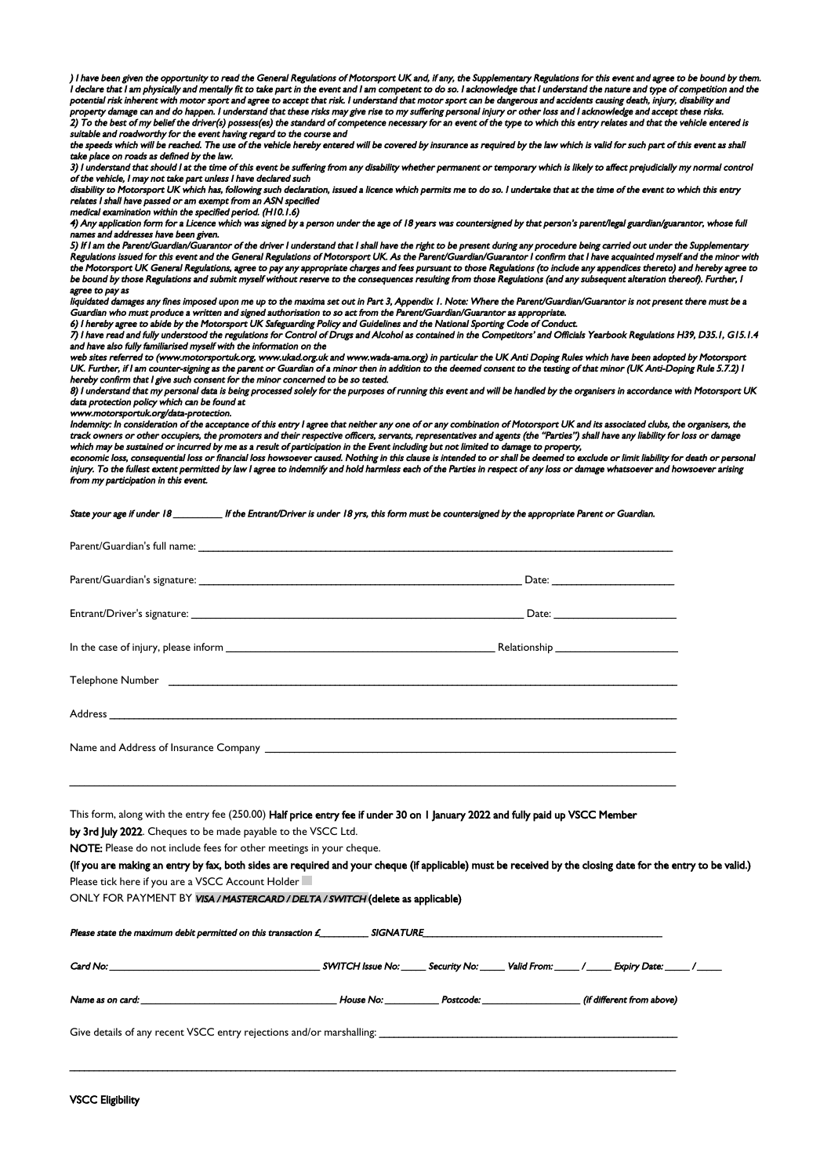) I have been given the opportunity to read the General Regulations of Motorsport UK and, if any, the Supplementary Regulations for this event and agree to be bound by them. I declare that I am physically and mentally fit to take part in the event and I am competent to do so. I acknowledge that I understand the nature and type of competition and the potential risk inherent with motor sport and agree to accept that risk. I understand that motor sport can be dangerous and accidents causing death, injury, disability and property damage can and do happen. I understand that these risks may give rise to my suffering personal injury or other loss and I acknowledge and accept these risks. 2) To the best of my belief the driver(s) possess(es) the standard of competence necessary for an event of the type to which this entry relates and that the vehicle entered is suitable and roadworthy for the event having regard to the course and

the speeds which will be reached. The use of the vehicle hereby entered will be covered by insurance as required by the law which is valid for such part of this event as shall take place on roads as defined by the law.

3) I understand that should I at the time of this event be suffering from any disability whether permanent or temporary which is likely to affect prejudicially my normal control of the vehicle, I may not take part unless I have declared such

disability to Motorsport UK which has, following such declaration, issued a licence which permits me to do so. I undertake that at the time of the event to which this entry relates I shall have passed or am exempt from an ASN specified

medical examination within the specified period. (H10.1.6)

4) Any application form for a Licence which was signed by a person under the age of 18 years was countersigned by that person's parent/legal guardian/guarantor, whose full s and addresses have been given.

5) If I am the Parent/Guardian/Guarantor of the driver I understand that I shall have the right to be present during any procedure being carried out under the Supplementary Regulations issued for this event and the General Regulations of Motorsport UK. As the Parent/Guardian/Guarantor I confirm that I have acquainted myself and the minor with the Motorsport UK General Regulations, agree to pay any appropriate charges and fees pursuant to those Regulations (to include any appendices thereto) and hereby agree to be bound by those Regulations and submit myself without reserve to the consequences resulting from those Regulations (and any subsequent alteration thereof). Further, I agree to pay as

liquidated damages any fines imposed upon me up to the maxima set out in Part 3, Appendix 1. Note: Where the Parent/Guardian/Guarantor is not present there must be a Guardian who must produce a written and signed authorisation to so act from the Parent/Guardian/Guarantor as appropriate.

6) I hereby agree to abide by the Motorsport UK Safeguarding Policy and Guidelines and the National Sporting Code of Conduct.

7) I have read and fully understood the regulations for Control of Drugs and Alcohol as contained in the Competitors' and Officials Yearbook Regulations H39, D35.1, G15.1.4 and have also fully familiarised myself with the information on the

web sites referred to (www.motorsportuk.org, www.ukad.org.uk and www.wada-ama.org) in particular the UK Anti Doping Rules which have been adopted by Motorsport UK. Further, if I am counter-signing as the parent or Guardian of a minor then in addition to the deemed consent to the testing of that minor (UK Anti-Doping Rule 5.7.2) I hereby confirm that I give such consent for the minor concerned to be so tested.

8) I understand that my personal data is being processed solely for the purposes of running this event and will be handled by the organisers in accordance with Motorsport UK data protection policy which can be found at

www.motorsportuk.org/data-protection.

Indemnity: In consideration of the acceptance of this entry I agree that neither any one of or any combination of Motorsport UK and its associated clubs, the organisers, the track owners or other occupiers, the promoters and their respective officers, servants, representatives and agents (the "Parties") shall have any liability for loss or damage which may be sustained or incurred by me as a result of participation in the Event including but not limited to damage to property,

economic loss, consequential loss or financial loss howsoever caused. Nothing in this clause is intended to or shall be deemed to exclude or limit liability for death or personal injury. To the fullest extent permitted by law I agree to indemnify and hold harmless each of the Parties in respect of any loss or damage whatsoever and howsoever arising from my participation in this event.

State your age if under 18 \_\_\_\_\_\_\_\_\_\_ If the Entrant/Driver is under 18 yrs, this form must be countersigned by the appropriate Parent or Guardian.

This form, along with the entry fee (250.00) Half price entry fee if under 30 on I January 2022 and fully paid up VSCC Member by 3rd July 2022. Cheques to be made payable to the VSCC Ltd.

\_\_\_\_\_\_\_\_\_\_\_\_\_\_\_\_\_\_\_\_\_\_\_\_\_\_\_\_\_\_\_\_\_\_\_\_\_\_\_\_\_\_\_\_\_\_\_\_\_\_\_\_\_\_\_\_\_\_\_\_\_\_\_\_\_\_\_\_\_\_\_\_\_\_\_\_\_\_\_\_\_\_\_\_\_\_\_\_\_\_\_\_\_\_\_\_\_\_\_\_\_\_\_\_\_\_\_\_\_\_\_\_\_\_\_\_\_\_\_\_\_\_\_\_

NOTE: Please do not include fees for other meetings in your cheque.

(If you are making an entry by fax, both sides are required and your cheque (if applicable) must be received by the closing date for the entry to be valid.) Please tick here if you are a VSCC Account Holder

ONLY FOR PAYMENT BY VISA / MASTERCARD / DELTA / SWITCH (delete as applicable)

| Name as on card: <u>the contract of the contract of the contract of the contract of the contract of the contract of the contract of the contract of the contract of the contract of the contract of the contract of the contract</u> |  |  |  |  |  |
|--------------------------------------------------------------------------------------------------------------------------------------------------------------------------------------------------------------------------------------|--|--|--|--|--|
| Give details of any recent VSCC entry rejections and/or marshalling: _______________________________                                                                                                                                 |  |  |  |  |  |